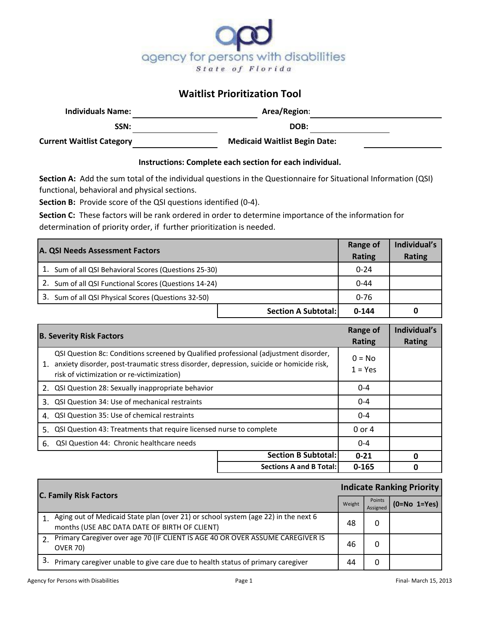

## **Waitlist Prioritization Tool**

| <b>Individuals Name:</b>         | Area/Region:                         |  |
|----------------------------------|--------------------------------------|--|
| SSN:                             | DOB:                                 |  |
| <b>Current Waitlist Category</b> | <b>Medicaid Waitlist Begin Date:</b> |  |

## **Instructions: Complete each section for each individual.**

**Section A:** Add the sum total of the individual questions in the Questionnaire for Situational Information (QSI) functional, behavioral and physical sections.

**Section B:** Provide score of the QSI questions identified (0-4).

**Section C:** These factors will be rank ordered in order to determine importance of the information for determination of priority order, if further prioritization is needed.

| A. QSI Needs Assessment Factors                       | <b>Range of</b><br>Rating | Individual's<br><b>Rating</b> |
|-------------------------------------------------------|---------------------------|-------------------------------|
| 1. Sum of all QSI Behavioral Scores (Questions 25-30) | $0 - 24$                  |                               |
| Sum of all QSI Functional Scores (Questions 14-24)    | $0 - 44$                  |                               |
| 3. Sum of all QSI Physical Scores (Questions 32-50)   | $0 - 76$                  |                               |
| <b>Section A Subtotal:</b>                            | $0 - 144$                 | 0                             |

|    | <b>B. Severity Risk Factors</b>                                                                                                                                                                                               |                                | <b>Range of</b><br><b>Rating</b> | Individual's<br>Rating |
|----|-------------------------------------------------------------------------------------------------------------------------------------------------------------------------------------------------------------------------------|--------------------------------|----------------------------------|------------------------|
| 1. | QSI Question 8c: Conditions screened by Qualified professional (adjustment disorder,<br>anxiety disorder, post-traumatic stress disorder, depression, suicide or homicide risk,<br>risk of victimization or re-victimization) |                                | $0 = No$<br>$1 = Yes$            |                        |
|    | 2. QSI Question 28: Sexually inappropriate behavior                                                                                                                                                                           |                                | $0 - 4$                          |                        |
|    | 3. QSI Question 34: Use of mechanical restraints                                                                                                                                                                              |                                | $0 - 4$                          |                        |
|    | 4. QSI Question 35: Use of chemical restraints                                                                                                                                                                                |                                | $0 - 4$                          |                        |
|    | QSI Question 43: Treatments that require licensed nurse to complete<br>5.                                                                                                                                                     |                                | $0$ or 4                         |                        |
|    | 6. QSI Question 44: Chronic healthcare needs                                                                                                                                                                                  |                                | $0 - 4$                          |                        |
|    |                                                                                                                                                                                                                               | <b>Section B Subtotal:</b>     | $0 - 21$                         | n                      |
|    |                                                                                                                                                                                                                               | <b>Sections A and B Total:</b> | $0 - 165$                        | n                      |

| <b>C. Family Risk Factors</b> |                                                                                                                                        | <b>Indicate Ranking Priority</b> |                    |                |
|-------------------------------|----------------------------------------------------------------------------------------------------------------------------------------|----------------------------------|--------------------|----------------|
|                               |                                                                                                                                        | Weight                           | Points<br>Assigned | $(O=No 1=Yes)$ |
|                               | 1. Aging out of Medicaid State plan (over 21) or school system (age 22) in the next 6<br>months (USE ABC DATA DATE OF BIRTH OF CLIENT) | 48                               | 0                  |                |
|                               | Primary Caregiver over age 70 (IF CLIENT IS AGE 40 OR OVER ASSUME CAREGIVER IS<br><b>OVER 70)</b>                                      | 46                               | 0                  |                |
|                               | Primary caregiver unable to give care due to health status of primary caregiver                                                        | 44                               | O                  |                |